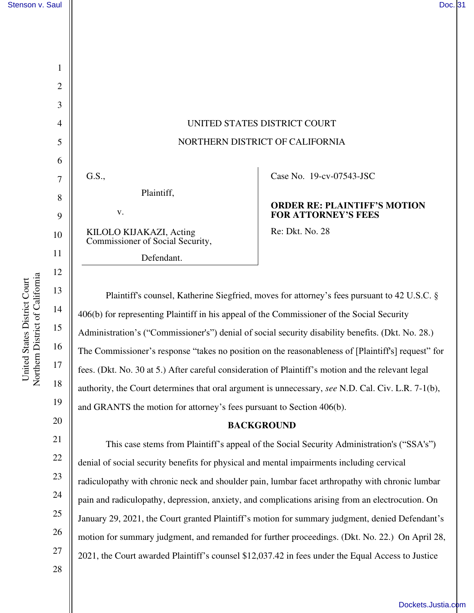

v.

Defendant.

# NORTHERN DISTRICT OF CALIFORNIA Plaintiff, Case No. 19-cv-07543-JSC

UNITED STATES DISTRICT COURT

## **ORDER RE: PLAINTIFF'S MOTION FOR ATTORNEY'S FEES**

Re: Dkt. No. 28

Plaintiff's counsel, Katherine Siegfried, moves for attorney's fees pursuant to 42 U.S.C. § 406(b) for representing Plaintiff in his appeal of the Commissioner of the Social Security Administration's ("Commissioner's") denial of social security disability benefits. (Dkt. No. 28.) The Commissioner's response "takes no position on the reasonableness of [Plaintiff's] request" for fees. (Dkt. No. 30 at 5.) After careful consideration of Plaintiff's motion and the relevant legal authority, the Court determines that oral argument is unnecessary, *see* N.D. Cal. Civ. L.R. 7-1(b), and GRANTS the motion for attorney's fees pursuant to Section 406(b).

## **BACKGROUND**

This case stems from Plaintiff's appeal of the Social Security Administration's ("SSA's") denial of social security benefits for physical and mental impairments including cervical radiculopathy with chronic neck and shoulder pain, lumbar facet arthropathy with chronic lumbar pain and radiculopathy, depression, anxiety, and complications arising from an electrocution. On January 29, 2021, the Court granted Plaintiff's motion for summary judgment, denied Defendant's motion for summary judgment, and remanded for further proceedings. (Dkt. No. 22.) On April 28, 2021, the Court awarded Plaintiff's counsel \$12,037.42 in fees under the Equal Access to Justice

11

12

13

14

15

16

17

18

19

20

21

22

23

24

25

26

27

28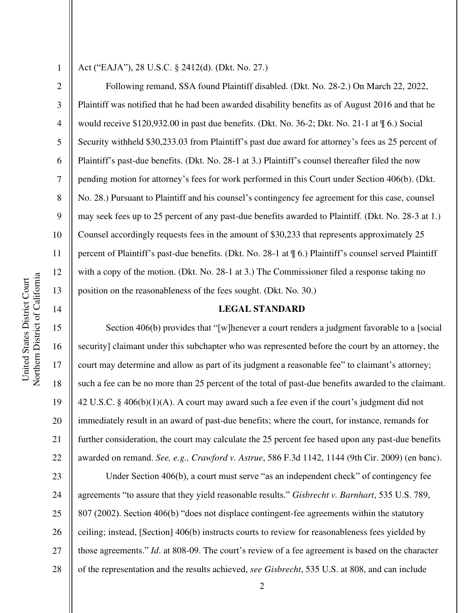1 2

3

4

5

6

7

8

9

10

11

12

13

14

15

16

17

18

19

20

21

22

### Act ("EAJA"), 28 U.S.C. § 2412(d). (Dkt. No. 27.)

Following remand, SSA found Plaintiff disabled. (Dkt. No. 28-2.) On March 22, 2022, Plaintiff was notified that he had been awarded disability benefits as of August 2016 and that he would receive \$120,932.00 in past due benefits. (Dkt. No. 36-2; Dkt. No. 21-1 at ¶ 6.) Social Security withheld \$30,233.03 from Plaintiff's past due award for attorney's fees as 25 percent of Plaintiff's past-due benefits. (Dkt. No. 28-1 at 3.) Plaintiff's counsel thereafter filed the now pending motion for attorney's fees for work performed in this Court under Section 406(b). (Dkt. No. 28.) Pursuant to Plaintiff and his counsel's contingency fee agreement for this case, counsel may seek fees up to 25 percent of any past-due benefits awarded to Plaintiff. (Dkt. No. 28-3 at 1.) Counsel accordingly requests fees in the amount of \$30,233 that represents approximately 25 percent of Plaintiff's past-due benefits. (Dkt. No. 28-1 at ¶ 6.) Plaintiff's counsel served Plaintiff with a copy of the motion. (Dkt. No. 28-1 at 3.) The Commissioner filed a response taking no position on the reasonableness of the fees sought. (Dkt. No. 30.)

### **LEGAL STANDARD**

Section 406(b) provides that "[w]henever a court renders a judgment favorable to a [social security] claimant under this subchapter who was represented before the court by an attorney, the court may determine and allow as part of its judgment a reasonable fee" to claimant's attorney; such a fee can be no more than 25 percent of the total of past-due benefits awarded to the claimant. 42 U.S.C. § 406(b)(1)(A). A court may award such a fee even if the court's judgment did not immediately result in an award of past-due benefits; where the court, for instance, remands for further consideration, the court may calculate the 25 percent fee based upon any past-due benefits awarded on remand. *See, e.g., Crawford v. Astrue*, 586 F.3d 1142, 1144 (9th Cir. 2009) (en banc).

23 24 25 26 27 28 Under Section 406(b), a court must serve "as an independent check" of contingency fee agreements "to assure that they yield reasonable results." *Gisbrecht v. Barnhart*, 535 U.S. 789, 807 (2002). Section 406(b) "does not displace contingent-fee agreements within the statutory ceiling; instead, [Section] 406(b) instructs courts to review for reasonableness fees yielded by those agreements." *Id*. at 808-09. The court's review of a fee agreement is based on the character of the representation and the results achieved, *see Gisbrecht*, 535 U.S. at 808, and can include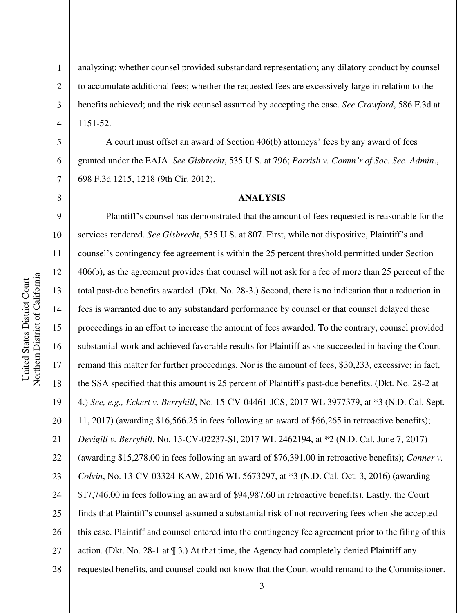1

2

3

4

5

6

7

8

analyzing: whether counsel provided substandard representation; any dilatory conduct by counsel to accumulate additional fees; whether the requested fees are excessively large in relation to the benefits achieved; and the risk counsel assumed by accepting the case. *See Crawford*, 586 F.3d at 1151-52.

A court must offset an award of Section 406(b) attorneys' fees by any award of fees granted under the EAJA. *See Gisbrecht*, 535 U.S. at 796; *Parrish v. Comm'r of Soc. Sec. Admin*., 698 F.3d 1215, 1218 (9th Cir. 2012).

#### **ANALYSIS**

9 10 11 12 13 14 15 16 17 18 19 20 21 22 23 24 25 26 27 28 Plaintiff's counsel has demonstrated that the amount of fees requested is reasonable for the services rendered. *See Gisbrecht*, 535 U.S. at 807. First, while not dispositive, Plaintiff's and counsel's contingency fee agreement is within the 25 percent threshold permitted under Section 406(b), as the agreement provides that counsel will not ask for a fee of more than 25 percent of the total past-due benefits awarded. (Dkt. No. 28-3.) Second, there is no indication that a reduction in fees is warranted due to any substandard performance by counsel or that counsel delayed these proceedings in an effort to increase the amount of fees awarded. To the contrary, counsel provided substantial work and achieved favorable results for Plaintiff as she succeeded in having the Court remand this matter for further proceedings. Nor is the amount of fees, \$30,233, excessive; in fact, the SSA specified that this amount is 25 percent of Plaintiff's past-due benefits. (Dkt. No. 28-2 at 4.) *See, e.g., Eckert v. Berryhill*, No. 15-CV-04461-JCS, 2017 WL 3977379, at \*3 (N.D. Cal. Sept. 11, 2017) (awarding \$16,566.25 in fees following an award of \$66,265 in retroactive benefits); *Devigili v. Berryhill*, No. 15-CV-02237-SI, 2017 WL 2462194, at \*2 (N.D. Cal. June 7, 2017) (awarding \$15,278.00 in fees following an award of \$76,391.00 in retroactive benefits); *Conner v. Colvin*, No. 13-CV-03324-KAW, 2016 WL 5673297, at \*3 (N.D. Cal. Oct. 3, 2016) (awarding \$17,746.00 in fees following an award of \$94,987.60 in retroactive benefits). Lastly, the Court finds that Plaintiff's counsel assumed a substantial risk of not recovering fees when she accepted this case. Plaintiff and counsel entered into the contingency fee agreement prior to the filing of this action. (Dkt. No. 28-1 at ¶ 3.) At that time, the Agency had completely denied Plaintiff any requested benefits, and counsel could not know that the Court would remand to the Commissioner.

3